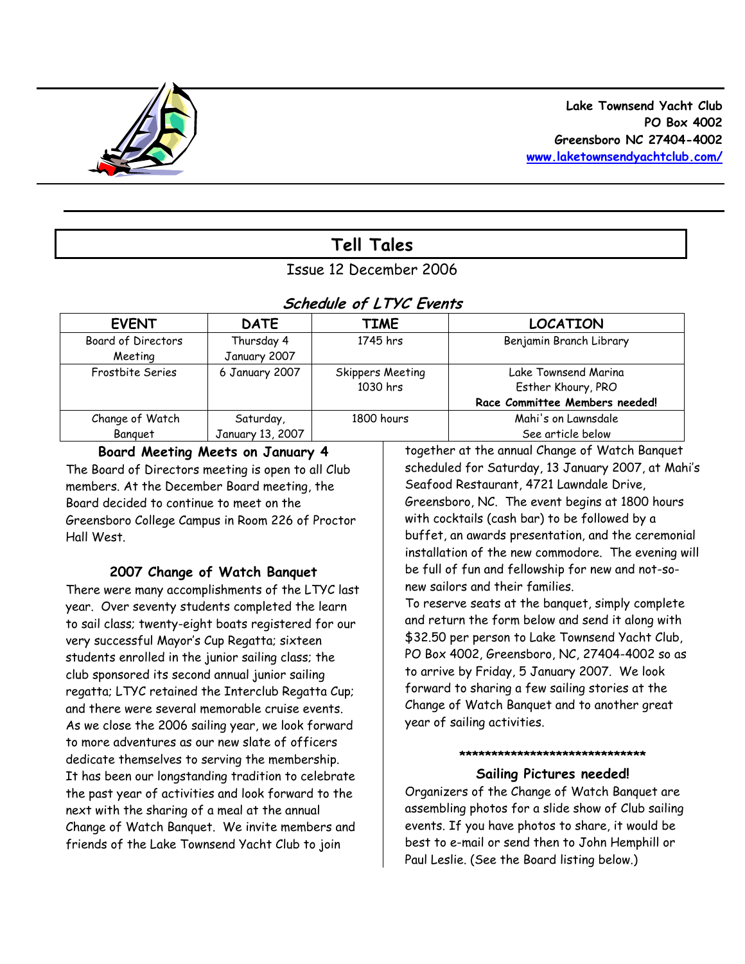

# **Tell Tales**

## Issue 12 December 2006

### **Schedule of LTYC Events**

| <b>EVENT</b>              | <b>DATE</b>      | <b>TIME</b>      | <b>LOCATION</b>                |
|---------------------------|------------------|------------------|--------------------------------|
| <b>Board of Directors</b> | Thursday 4       | 1745 hrs         | Benjamin Branch Library        |
| Meeting                   | January 2007     |                  |                                |
| Frostbite Series          | 6 January 2007   | Skippers Meeting | Lake Townsend Marina           |
|                           |                  | 1030 hrs         | Esther Khoury, PRO             |
|                           |                  |                  | Race Committee Members needed! |
| Change of Watch           | Saturday,        | 1800 hours       | Mahi's on Lawnsdale            |
| Banguet                   | January 13, 2007 |                  | See article below              |

### **Board Meeting Meets on January 4**

The Board of Directors meeting is open to all Club members. At the December Board meeting, the Board decided to continue to meet on the Greensboro College Campus in Room 226 of Proctor Hall West.

### **2007 Change of Watch Banquet**

There were many accomplishments of the LTYC last year. Over seventy students completed the learn to sail class; twenty-eight boats registered for our very successful Mayor's Cup Regatta; sixteen students enrolled in the junior sailing class; the club sponsored its second annual junior sailing regatta; LTYC retained the Interclub Regatta Cup; and there were several memorable cruise events. As we close the 2006 sailing year, we look forward to more adventures as our new slate of officers dedicate themselves to serving the membership. It has been our longstanding tradition to celebrate the past year of activities and look forward to the next with the sharing of a meal at the annual Change of Watch Banquet. We invite members and friends of the Lake Townsend Yacht Club to join

together at the annual Change of Watch Banquet scheduled for Saturday, 13 January 2007, at Mahi's Seafood Restaurant, 4721 Lawndale Drive, Greensboro, NC. The event begins at 1800 hours with cocktails (cash bar) to be followed by a buffet, an awards presentation, and the ceremonial installation of the new commodore. The evening will be full of fun and fellowship for new and not-sonew sailors and their families.

To reserve seats at the banquet, simply complete and return the form below and send it along with \$32.50 per person to Lake Townsend Yacht Club, PO Box 4002, Greensboro, NC, 27404-4002 so as to arrive by Friday, 5 January 2007. We look forward to sharing a few sailing stories at the Change of Watch Banquet and to another great year of sailing activities.

#### **\*\*\*\*\*\*\*\*\*\*\*\*\*\*\*\*\*\*\*\*\*\*\*\*\*\*\*\*\***

### **Sailing Pictures needed!**

Organizers of the Change of Watch Banquet are assembling photos for a slide show of Club sailing events. If you have photos to share, it would be best to e-mail or send then to John Hemphill or Paul Leslie. (See the Board listing below.)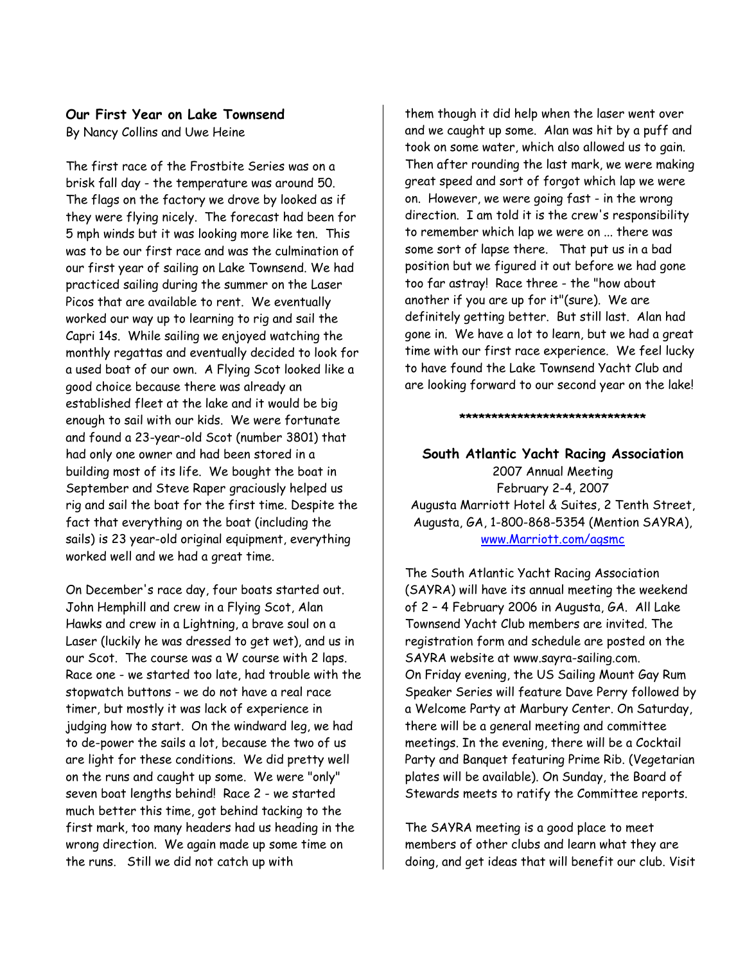### **Our First Year on Lake Townsend**

By Nancy Collins and Uwe Heine

The first race of the Frostbite Series was on a brisk fall day - the temperature was around 50. The flags on the factory we drove by looked as if they were flying nicely. The forecast had been for 5 mph winds but it was looking more like ten. This was to be our first race and was the culmination of our first year of sailing on Lake Townsend. We had practiced sailing during the summer on the Laser Picos that are available to rent. We eventually worked our way up to learning to rig and sail the Capri 14s. While sailing we enjoyed watching the monthly regattas and eventually decided to look for a used boat of our own. A Flying Scot looked like a good choice because there was already an established fleet at the lake and it would be big enough to sail with our kids. We were fortunate and found a 23-year-old Scot (number 3801) that had only one owner and had been stored in a building most of its life. We bought the boat in September and Steve Raper graciously helped us rig and sail the boat for the first time. Despite the fact that everything on the boat (including the sails) is 23 year-old original equipment, everything worked well and we had a great time.

On December's race day, four boats started out. John Hemphill and crew in a Flying Scot, Alan Hawks and crew in a Lightning, a brave soul on a Laser (luckily he was dressed to get wet), and us in our Scot. The course was a W course with 2 laps. Race one - we started too late, had trouble with the stopwatch buttons - we do not have a real race timer, but mostly it was lack of experience in judging how to start. On the windward leg, we had to de-power the sails a lot, because the two of us are light for these conditions. We did pretty well on the runs and caught up some. We were "only" seven boat lengths behind! Race 2 - we started much better this time, got behind tacking to the first mark, too many headers had us heading in the wrong direction. We again made up some time on the runs. Still we did not catch up with

them though it did help when the laser went over and we caught up some. Alan was hit by a puff and took on some water, which also allowed us to gain. Then after rounding the last mark, we were making great speed and sort of forgot which lap we were on. However, we were going fast - in the wrong direction. I am told it is the crew's responsibility to remember which lap we were on ... there was some sort of lapse there. That put us in a bad position but we figured it out before we had gone too far astray! Race three - the "how about another if you are up for it"(sure). We are definitely getting better. But still last. Alan had gone in. We have a lot to learn, but we had a great time with our first race experience. We feel lucky to have found the Lake Townsend Yacht Club and are looking forward to our second year on the lake!

**South Atlantic Yacht Racing Association**  2007 Annual Meeting February 2-4, 2007 Augusta Marriott Hotel & Suites, 2 Tenth Street, Augusta, GA, 1-800-868-5354 (Mention SAYRA), [www.Marriott.com/agsmc](http://www.marriott.com/agsmc)

**\*\*\*\*\*\*\*\*\*\*\*\*\*\*\*\*\*\*\*\*\*\*\*\*\*\*\*\*\*** 

The South Atlantic Yacht Racing Association (SAYRA) will have its annual meeting the weekend of 2 – 4 February 2006 in Augusta, GA. All Lake Townsend Yacht Club members are invited. The registration form and schedule are posted on the SAYRA website at [www.sayra-sailing.com.](http://www.sayra-sailing.com/) On Friday evening, the US Sailing Mount Gay Rum Speaker Series will feature Dave Perry followed by a Welcome Party at Marbury Center. On Saturday, there will be a general meeting and committee meetings. In the evening, there will be a Cocktail Party and Banquet featuring Prime Rib. (Vegetarian plates will be available). On Sunday, the Board of Stewards meets to ratify the Committee reports.

The SAYRA meeting is a good place to meet members of other clubs and learn what they are doing, and get ideas that will benefit our club. Visit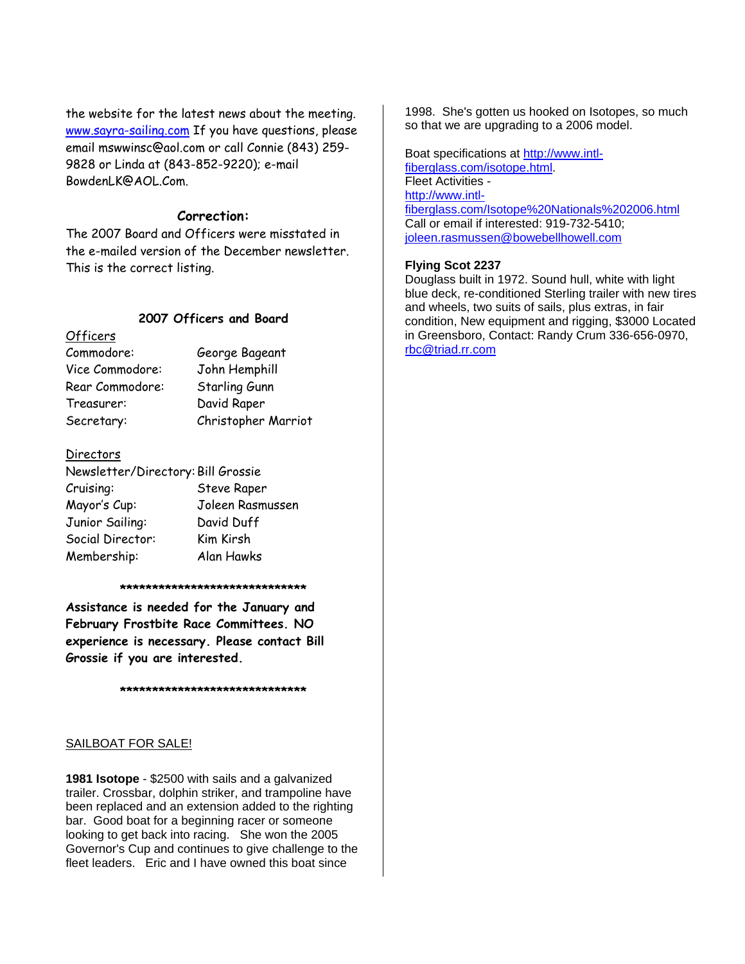the website for the latest news about the meeting. [www.sayra-sailing.com](http://www.sayra-sailing.com/) If you have questions, please email mswwinsc@aol.com or call Connie (843) 259- 9828 or Linda at (843-852-9220); e-mail BowdenLK@AOL.Com.

#### **Correction:**

The 2007 Board and Officers were misstated in the e-mailed version of the December newsletter. This is the correct listing.

#### **2007 Officers and Board**

#### **Officers**

Commodore: George Bageant Vice Commodore: John Hemphill Rear Commodore: Starling Gunn Treasurer: David Raper Secretary: Christopher Marriot

#### **Directors**

| Newsletter/Directory: Bill Grossie |                  |  |
|------------------------------------|------------------|--|
| Cruising:                          | Steve Raper      |  |
| Mayor's Cup:                       | Joleen Rasmussen |  |
| Junior Sailing:                    | David Duff       |  |
| Social Director:                   | Kim Kirsh        |  |
| Membership:                        | Alan Hawks       |  |

#### **\*\*\*\*\*\*\*\*\*\*\*\*\*\*\*\*\*\*\*\*\*\*\*\*\*\*\*\*\***

**Assistance is needed for the January and February Frostbite Race Committees. NO experience is necessary. Please contact Bill Grossie if you are interested.** 

**\*\*\*\*\*\*\*\*\*\*\*\*\*\*\*\*\*\*\*\*\*\*\*\*\*\*\*\*\***

#### SAILBOAT FOR SALE!

**1981 Isotope** - \$2500 with sails and a galvanized trailer. Crossbar, dolphin striker, and trampoline have been replaced and an extension added to the righting bar. Good boat for a beginning racer or someone looking to get back into racing. She won the 2005 Governor's Cup and continues to give challenge to the fleet leaders. Eric and I have owned this boat since

1998. She's gotten us hooked on Isotopes, so much so that we are upgrading to a 2006 model.

Boat specifications at [http://www.intl](http://www.intl-fiberglass.com/isotope.html)[fiberglass.com/isotope.html](http://www.intl-fiberglass.com/isotope.html). Fleet Activities [http://www.intl](http://www.intl-fiberglass.com/Isotope%20Nationals%202006.html)[fiberglass.com/Isotope%20Nationals%202006.html](http://www.intl-fiberglass.com/Isotope%20Nationals%202006.html) Call or email if interested: 919-732-5410; [joleen.rasmussen@bowebellhowell.com](mailto:joleen.rasmussen@bowebellhowell.com)

#### **Flying Scot 2237**

Douglass built in 1972. Sound hull, white with light blue deck, re-conditioned Sterling trailer with new tires and wheels, two suits of sails, plus extras, in fair condition, New equipment and rigging, \$3000 Located in Greensboro, Contact: Randy Crum 336-656-0970, [rbc@triad.rr.com](mailto:rbc@triad.rr.com)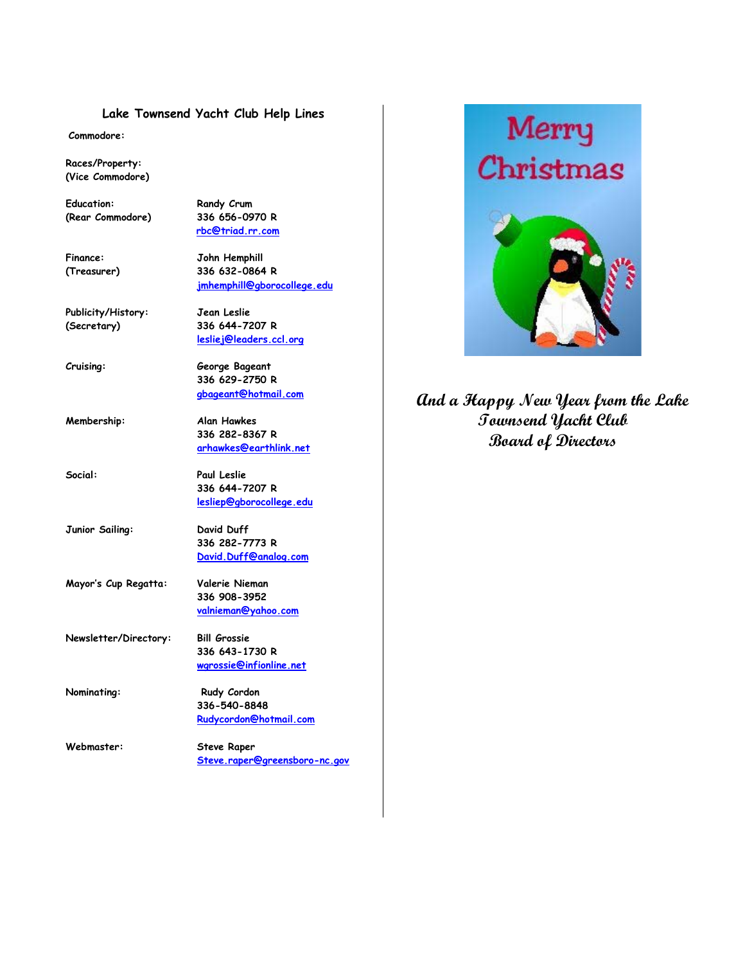#### **Lake Townsend Yacht Club Help Lines**

**Commodore:**

**Races/Property: (Vice Commodore)** 

Education: Randy Crum **(Rear Commodore) 336 656-0970 R** 

 **[rbc@triad.rr.com](mailto:rbc@triad.rr.com)**

**Finance: John Hemphill (Treasurer) 336 632-0864 R [jmhemphill@gborocollege.edu](mailto:jmhemphill@gborocollege.edu)** 

**Publicity/History: Jean Leslie (Secretary) 336 644-7207 R** 

**[lesliej@leaders.ccl.org](mailto:lesliej@leaders.ccl.org)** 

**Cruising: George Bageant 336 629-2750 R** 

**Membership: Alan Hawkes 336 282-8367 R [arhawkes@earthlink.net](mailto:arhawkes@earthlink.net)**

**Social: Paul Leslie 336 644-7207 R [lesliep@gborocollege.edu](mailto:lesliep@gborocollege.edu)** 

**Junior Sailing: David Duff 336 282-7773 R [David.Duff@analog.com](mailto:David.Duff@analog.com)** 

**Mayor's Cup Regatta: Valerie Nieman 336 908-3952 [valnieman@yahoo.com](mailto:valnieman@yahoo.com)**

**Newsletter/Directory: Bill Grossie 336 643-1730 R [wgrossie@infionline.net](mailto:wgrossie@infi.net)** 

**Nominating:** Rudy Cordon **336-540-8848 [Rudycordon@hotmail.com](mailto:Rudycordon@hotmail.com)**

**Webmaster: Steve Raper [Steve.raper@greensboro-nc.gov](mailto:Steve.raper@greensboro-nc.gov)** 



**[gbageant@hotmail.com](mailto:gbadgeant@hotmail.com) And a Happy New Year from the Lake Townsend Yacht Club Board of Directors**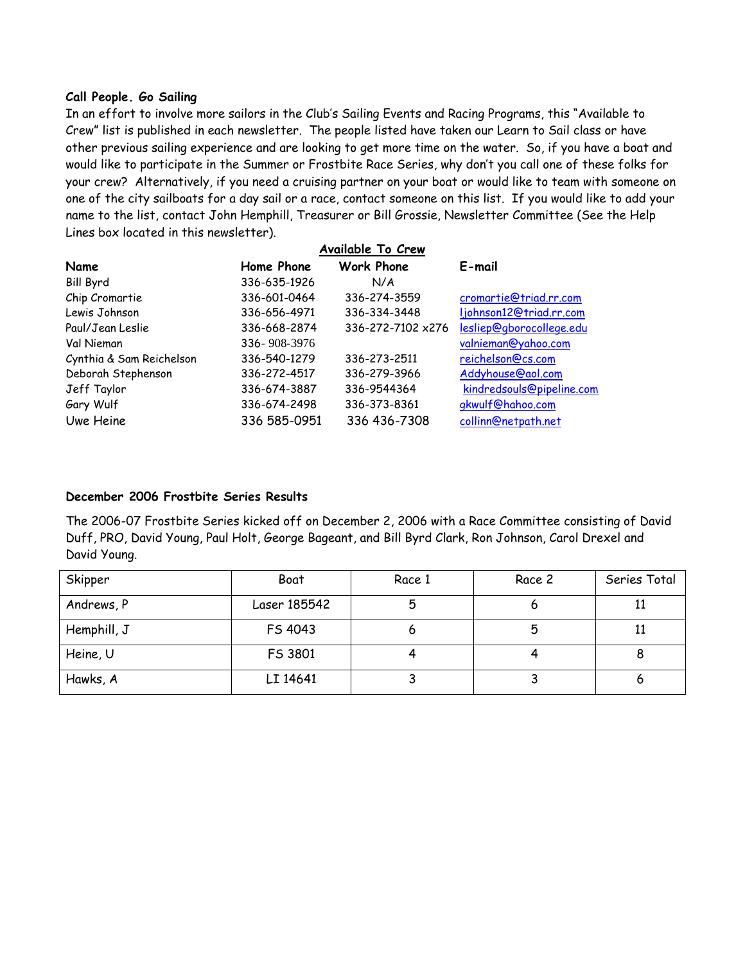#### **Call People. Go Sailing**

In an effort to involve more sailors in the Club's Sailing Events and Racing Programs, this "Available to Crew" list is published in each newsletter. The people listed have taken our Learn to Sail class or have other previous sailing experience and are looking to get more time on the water. So, if you have a boat and would like to participate in the Summer or Frostbite Race Series, why don't you call one of these folks for your crew? Alternatively, if you need a cruising partner on your boat or would like to team with someone on one of the city sailboats for a day sail or a race, contact someone on this list. If you would like to add your name to the list, contact John Hemphill, Treasurer or Bill Grossie, Newsletter Committee (See the Help Lines box located in this newsletter).

|                          | Available To Crew |                   |                           |  |
|--------------------------|-------------------|-------------------|---------------------------|--|
| Name                     | Home Phone        | <b>Work Phone</b> | E-mail                    |  |
| <b>Bill Byrd</b>         | 336-635-1926      | N/A               |                           |  |
| Chip Cromartie           | 336-601-0464      | 336-274-3559      | cromartie@triad.rr.com    |  |
| Lewis Johnson            | 336-656-4971      | 336-334-3448      | ljohnson12@triad.rr.com   |  |
| Paul/Jean Leslie         | 336-668-2874      | 336-272-7102 x276 | lesliep@gborocollege.edu  |  |
| Val Nieman               | 336-908-3976      |                   | valnieman@yahoo.com       |  |
| Cynthia & Sam Reichelson | 336-540-1279      | 336-273-2511      | reichelson@cs.com         |  |
| Deborah Stephenson       | 336-272-4517      | 336-279-3966      | Addyhouse@aol.com         |  |
| Jeff Taylor              | 336-674-3887      | 336-9544364       | kindredsouls@pipeline.com |  |
| Gary Wulf                | 336-674-2498      | 336-373-8361      | gkwulf@hahoo.com          |  |
| Uwe Heine                | 336 585-0951      | 336 436-7308      | collinn@netpath.net       |  |
|                          |                   |                   |                           |  |

#### **December 2006 Frostbite Series Results**

The 2006-07 Frostbite Series kicked off on December 2, 2006 with a Race Committee consisting of David Duff, PRO, David Young, Paul Holt, George Bageant, and Bill Byrd Clark, Ron Johnson, Carol Drexel and David Young.

| Skipper     | Boat         | Race 1 | Race 2 | Series Total |
|-------------|--------------|--------|--------|--------------|
| Andrews, P  | Laser 185542 | 5      |        |              |
| Hemphill, J | FS 4043      |        |        |              |
| Heine, U    | FS 3801      |        |        |              |
| Hawks, A    | LI 14641     |        |        |              |